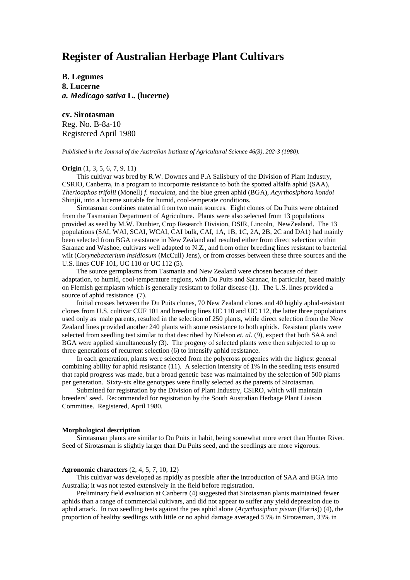# **Register of Australian Herbage Plant Cultivars**

**B. Legumes 8. Lucerne** *a. Medicago sativa* **L. (lucerne)**

**cv. Sirotasman** Reg. No. B-8a-10 Registered April 1980

*Published in the Journal of the Australian Institute of Agricultural Science 46(3), 202-3 (1980).*

## **Origin** (1, 3, 5, 6, 7, 9, 11)

This cultivar was bred by R.W. Downes and P.A Salisbury of the Division of Plant Industry, CSRIO, Canberra, in a program to incorporate resistance to both the spotted alfalfa aphid (SAA), *Therioaphos trifolii* (Monell) *f. maculata,* and the blue green aphid (BGA), *Acyrthosiphora kondoi* Shinjii, into a lucerne suitable for humid, cool-temperate conditions.

Sirotasman combines material from two main sources. Eight clones of Du Puits were obtained from the Tasmanian Department of Agriculture. Plants were also selected from 13 populations provided as seed by M.W. Dunbier, Crop Research Division, DSIR, Lincoln, NewZealand. The 13 populations (SAI, WAI, SCAI, WCAI, CAI bulk, CAI, 1A, 1B, 1C, 2A, 2B, 2C and DA1) had mainly been selected from BGA resistance in New Zealand and resulted either from direct selection within Saranac and Washoe, cultivars well adapted to N.Z., and from other breeding lines resistant to bacterial wilt (*Corynebacterium insidiosum* (McCull) Jens), or from crosses between these three sources and the U.S. lines CUF 101, UC 110 or UC 112 (5).

The source germplasms from Tasmania and New Zealand were chosen because of their adaptation, to humid, cool-temperature regions, with Du Puits and Saranac, in particular, based mainly on Flemish germplasm which is generally resistant to foliar disease (1). The U.S. lines provided a source of aphid resistance (7).

Initial crosses between the Du Puits clones, 70 New Zealand clones and 40 highly aphid-resistant clones from U.S. cultivar CUF 101 and breeding lines UC 110 and UC 112, the latter three populations used only as male parents, resulted in the selection of 250 plants, while direct selection from the New Zealand lines provided another 240 plants with some resistance to both aphids. Resistant plants were selected from seedling test similar to that described by Nielson *et. al.* (9), expect that both SAA and BGA were applied simultaneously (3). The progeny of selected plants were then subjected to up to three generations of recurrent selection (6) to intensify aphid resistance.

In each generation, plants were selected from the polycross progenies with the highest general combining ability for aphid resistance (11). A selection intensity of 1% in the seedling tests ensured that rapid progress was made, but a broad genetic base was maintained by the selection of 500 plants per generation. Sixty-six elite genotypes were finally selected as the parents of Sirotasman.

Submitted for registration by the Division of Plant Industry, CSIRO, which will maintain breeders' seed. Recommended for registration by the South Australian Herbage Plant Liaison Committee. Registered, April 1980.

#### **Morphological description**

Sirotasman plants are similar to Du Puits in habit, being somewhat more erect than Hunter River. Seed of Sirotasman is slightly larger than Du Puits seed, and the seedlings are more vigorous.

### **Agronomic characters** (2, 4, 5, 7, 10, 12)

This cultivar was developed as rapidly as possible after the introduction of SAA and BGA into Australia; it was not tested extensively in the field before registration.

Preliminary field evaluation at Canberra (4) suggested that Sirotasman plants maintained fewer aphids than a range of commercial cultivars, and did not appear to suffer any yield depression due to aphid attack. In two seedling tests against the pea aphid alone (*Acyrthosiphon pisum* (Harris)) (4), the proportion of healthy seedlings with little or no aphid damage averaged 53% in Sirotasman, 33% in